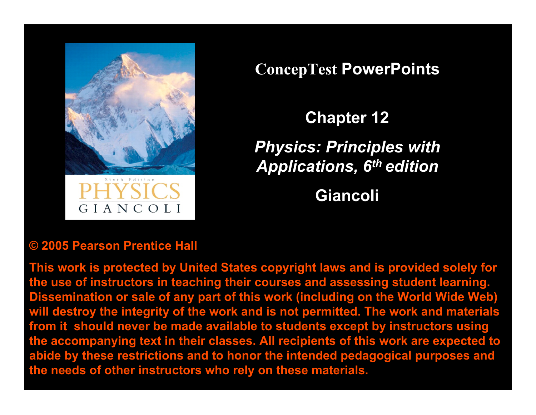

GIANCOLI

**ConcepTest PowerPoints**

**Chapter 12**

*Physics: Principles with Applications, 6th edition*

**Giancoli**

#### **© 2005 Pearson Prentice Hall**

**This work is protected by United States copyright laws and is provided solely for the use of instructors in teaching their courses and assessing student learning. Dissemination or sale of any part of this work (including on the World Wide Web) will destroy the integrity of the work and is not permitted. The work and materials from it should never be made available to students except by instructors using the accompanying text in their classes. All recipients of this work are expected to abide by these restrictions and to honor the intended pedagogical purposes and the needs of other instructors who rely on these materials.**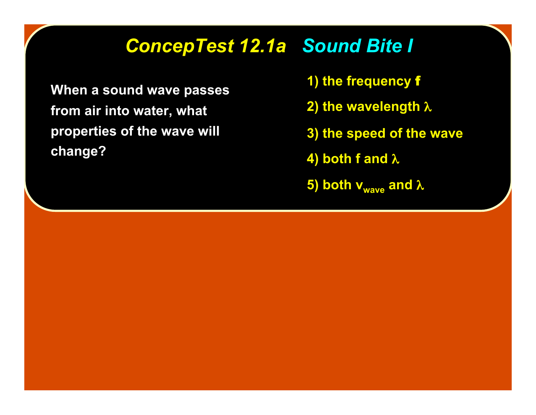## *ConcepTest 12.1a ConcepTest 12.1a Sound Bite I*

**When a sound wave passes from air into water, what properties of the wave will change?**

- **1) the frequency** f
- **2) the wavelength** λ
- **3) the speed of the wave**
- **4) both f and** λ
- **5) both v<sub>wave</sub> and λ**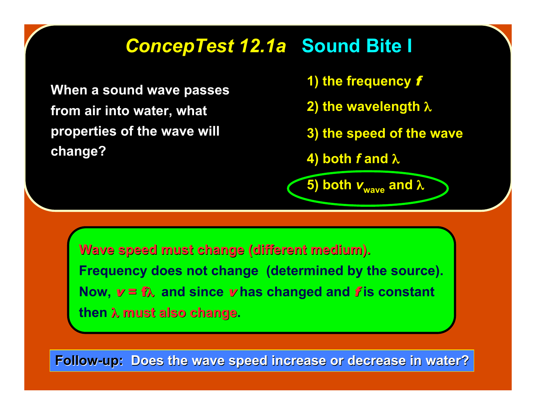## *ConcepTest 12.1a ConcepTest 12.1a* **Sound Bite I**

**When a sound wave passes from air into water, what properties of the wave will change?**

- **1) the frequency** f
- **2) the wavelength** λ
- **3) the speed of the wave**
- **4) both** *f* **and** λ

**5) both**  $v_{\text{wave}}$  **and**  $\lambda$ 

**Wave speed must change (different medium). Wave speed must change (different medium). Frequency does not change (determined by the source). Now,** v = fλ **and since** v **has changed and** f **is constant then λ must also change.** 

**Follow-up: Does the wave speed increase or decrease in water?**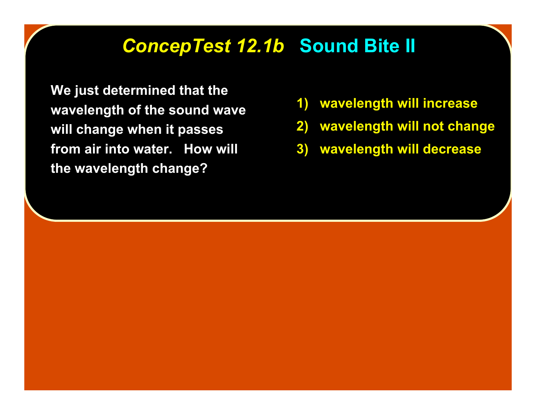#### **ConcepTest 12.1b Sound Bite II**

**We just determined that the wavelength of the sound wave will change when it passes from air into water. How will the wavelength change?**

- **1) wavelength will increase**
- **2) wavelength will not change**
- **3) wavelength will decrease**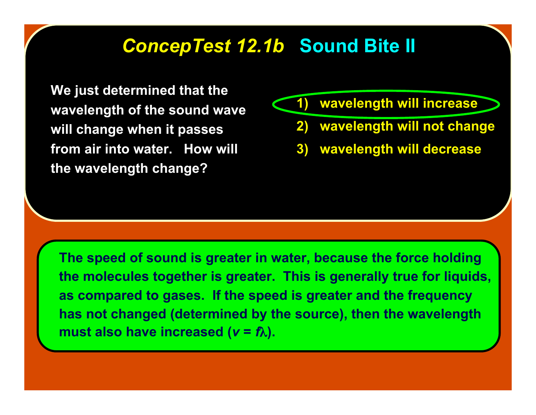#### **ConcepTest 12.1b Sound Bite II**

**We just determined that the wavelength of the sound wave will change when it passes from air into water. How will the wavelength change?**



- **2) wavelength will not change**
- **3) wavelength will decrease**

**The speed of sound is greater in water, because the force holding the molecules together is greater. This is generally true for liquids, as compared to gases. If the speed is greater and the frequency has not changed (determined by the source), then the wavelength must also have increased (** $v = f\lambda$ **).**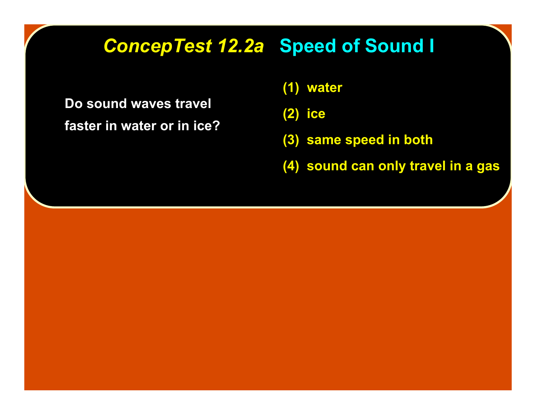## *ConcepTest 12.2a ConcepTest 12.2a* **Speed of Sound I**

**Do sound waves travel faster in water or in ice?**

- **(1) water**
- **(2) ice**
- **(3) same speed in both**
- **(4) sound can only travel in a gas**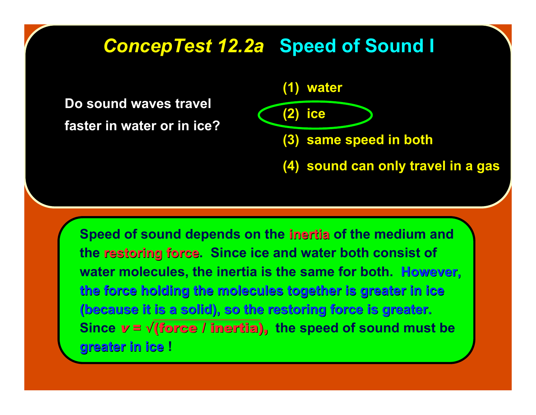#### *ConcepTest 12.2a ConcepTest 12.2a* **Speed of Sound I**

**Do sound waves travel faster in water or in ice?**



**Speed of sound depends on the inertia inertia of the medium and the restoring force.** Since ice and water both consist of **water molecules, the inertia is the same for both. However, However, the force holding the molecules together is greater in ice the force holding the molecules together is greater in ice (because it is a solid), so the restoring force is greater. (because it is a solid), so the restoring force is greater.** Since  $v = \sqrt{f$ **orce / inertia)**, the speed of sound must be **greater in ice greater in ice !**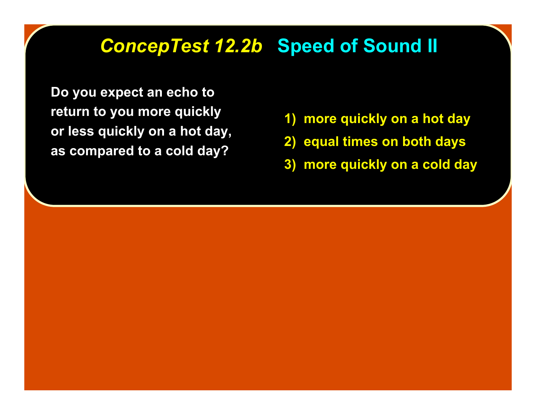## *ConcepTest 12.2b ConcepTest 12.2b* **Speed of Sound II**

**Do you expect an echo to return to you more quickly or less quickly on a hot day, as compared to a cold day?**

- **1) more quickly on a hot day**
- **2) equal times on both days**
- **3) more quickly on a cold day**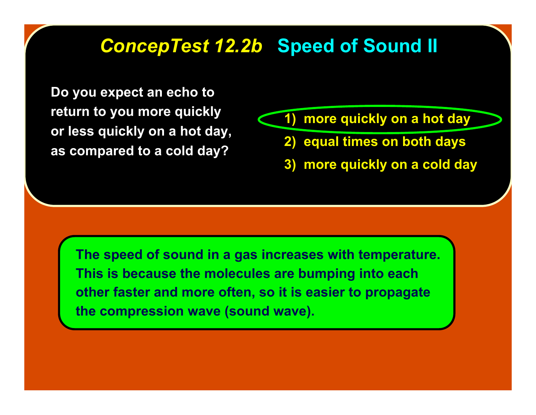#### *ConcepTest 12.2b ConcepTest 12.2b* **Speed of Sound II**

**Do you expect an echo to return to you more quickly or less quickly on a hot day, as compared to a cold day?**

- **1) more quickly on a hot day**
	- **2) equal times on both days**
	- **3) more quickly on a cold day**

**The speed of sound in a gas increases with temperature. This is because the molecules are bumping into each other faster and more often, so it is easier to propagate the compression wave (sound wave).**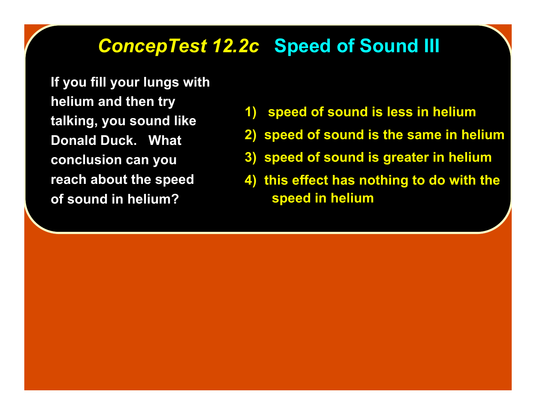## *ConcepTest 12.2c ConcepTest 12.2c* **Speed of Sound III**

**If you fill your lungs with helium and then try talking, you sound like Donald Duck. What conclusion can you reach about the speed of sound in helium?**

- **1) speed of sound is less in helium**
- **2) speed of sound is the same in helium**
- **3) speed of sound is greater in helium**
- **4) this effect has nothing to do with the speed in helium**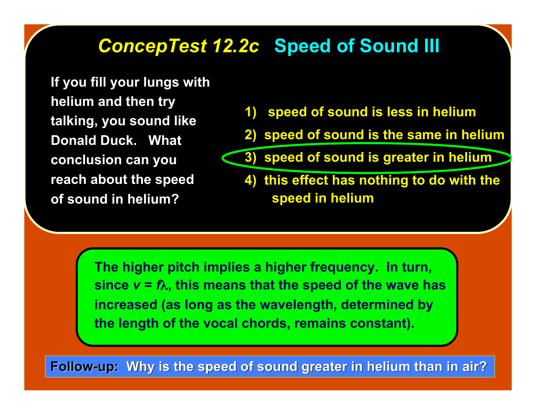## *ConcepTest 12.2c ConcepTest 12.2c* **Speed of Sound III**

**If you fill your lungs with helium and then try talking, you sound like Donald Duck. What conclusion can you reach about the speed of sound in helium?**

- **1) speed of sound is less in helium**
- **2) speed of sound is the same in helium**
- **3) speed of sound is greater in helium**
- **4) this effect has nothing to do with the speed in helium**

**The higher pitch implies a higher frequency. In turn, since**  $v = f\lambda$ **, this means that the speed of the wave has increased (as long as the wavelength, determined by the length of the vocal chords, remains constant).**

**Follow-up: Why is the speed of sound greater in helium than in air?**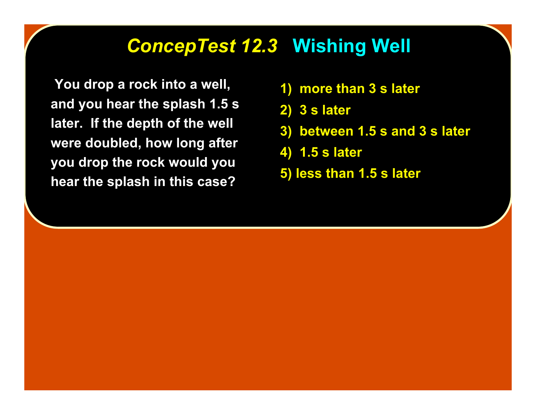#### **ConcepTest 12.3 Wishing Well**

 **You drop a rock into a well, and you hear the splash 1.5 s later. If the depth of the well were doubled, how long after you drop the rock would you hear the splash in this case?**

- **1) more than 3 s later**
- **2) 3 s later**
- **3) between 1.5 s and 3 s later**
- **4) 1.5 s later**
- **5) less than 1.5 s later**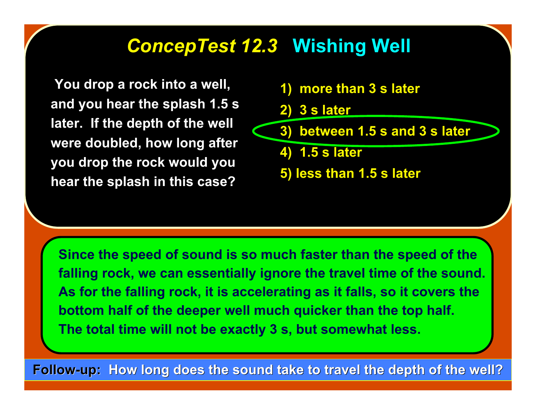## **ConcepTest 12.3 Wishing Well**

 **You drop a rock into a well, and you hear the splash 1.5 s later. If the depth of the well were doubled, how long after you drop the rock would you hear the splash in this case?**

- **1) more than 3 s later**
- **2) 3 s later**
- **3) between 1.5 s and 3 s later**
	- **4) 1.5 s later**
	- **5) less than 1.5 s later**

**Since the speed of sound is so much faster than the speed of the falling rock, we can essentially ignore the travel time of the sound. As for the falling rock, it is accelerating as it falls, so it covers the bottom half of the deeper well much quicker than the top half. The total time will not be exactly 3 s, but somewhat less.**

**Follow-up:** How long does the sound take to travel the depth of the well?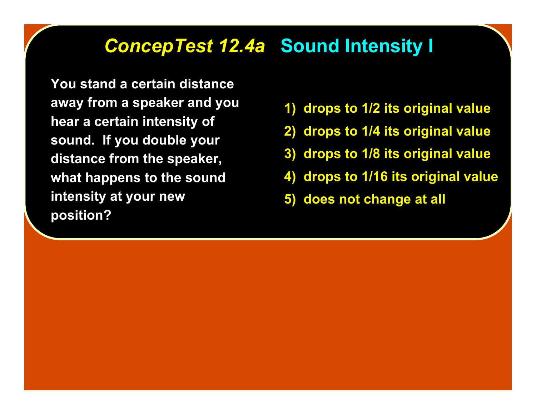#### *ConcepTest 12.4a ConcepTest 12.4a* **Sound Intensity I**

**You stand a certain distance away from a speaker and you hear a certain intensity of sound. If you double your distance from the speaker, what happens to the sound intensity at your new position?**

- **1) drops to 1/2 its original value**
- **2) drops to 1/4 its original value**
- **3) drops to 1/8 its original value**
- **4) drops to 1/16 its original value**
- **5) does not change at all**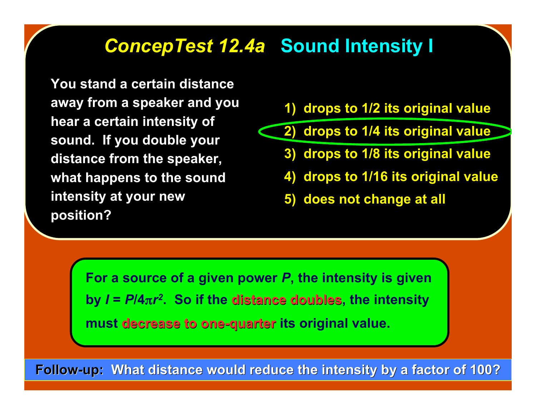#### *ConcepTest 12.4a ConcepTest 12.4a* **Sound Intensity I**

**You stand a certain distance away from a speaker and you hear a certain intensity of sound. If you double your distance from the speaker, what happens to the sound intensity at your new position?**

- **1) drops to 1/2 its original value**
- **2) drops to 1/4 its original value**
	- **3) drops to 1/8 its original value**
	- **4) drops to 1/16 its original value**
	- **5) does not change at all**

**For a source of a given power** *P***, the intensity is given by**  $I = P/4\pi r^2$ **. So if the distance doubles, the intensity** must decrease to one-quarter its original value.

**Follow-up: What distance would reduce the intensity by a factor of 100?**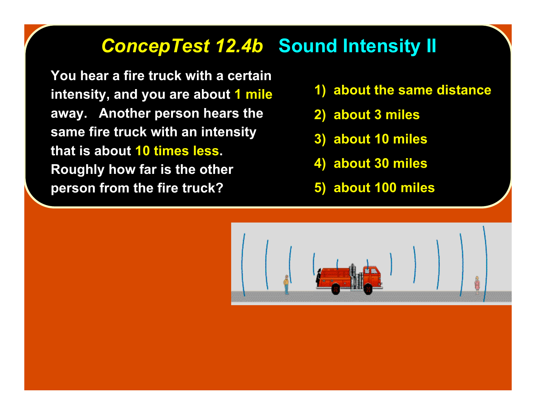## *ConcepTest 12.4b ConcepTest 12.4b* **Sound Intensity II**

**You hear a fire truck with a certain intensity, and you are about 1 mile away. Another person hears the same fire truck with an intensity that is about 10 times less. Roughly how far is the other person from the fire truck?**

- **1) about the same distance**
- **2) about 3 miles**
- **3) about 10 miles**
- **4) about 30 miles**
- **5) about 100 miles**

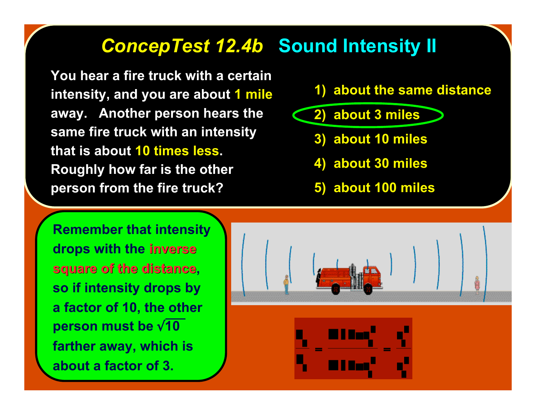#### *ConcepTest 12.4b ConcepTest 12.4b* **Sound Intensity II**

**You hear a fire truck with a certain intensity, and you are about 1 mile away. Another person hears the same fire truck with an intensity that is about 10 times less. Roughly how far is the other person from the fire truck?**

#### **1) about the same distance**

- **2) about 3 miles**
	- **3) about 10 miles**
	- **4) about 30 miles**
	- **5) about 100 miles**

**Remember that intensity drops with the inverse inverse square of the distance, so if intensity drops by a factor of 10, the other person must be** √**10 farther away, which is about a factor of 3.**

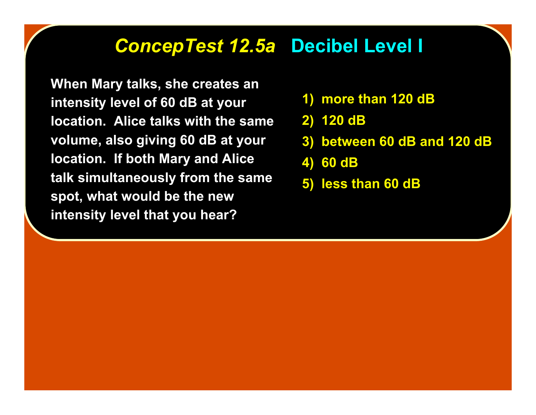## *ConcepTest 12.5a ConcepTest 12.5a* **Decibel Level I**

**When Mary talks, she creates an intensity level of 60 dB at your location. Alice talks with the same volume, also giving 60 dB at your location. If both Mary and Alice talk simultaneously from the same spot, what would be the new intensity level that you hear?**

- **1) more than 120 dB**
- **2) 120 dB**
- **3) between 60 dB and 120 dB**
- **4) 60 dB**
- **5) less than 60 dB**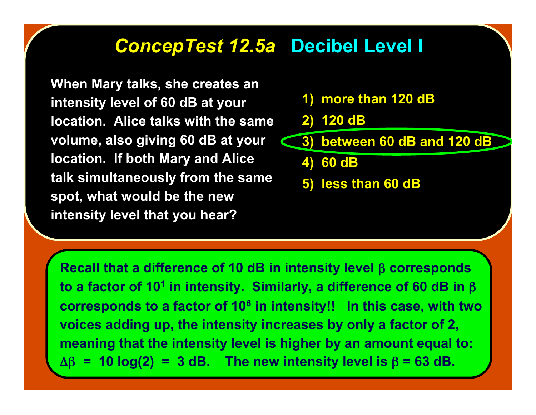#### *ConcepTest 12.5a ConcepTest 12.5a* **Decibel Level I**

**When Mary talks, she creates an intensity level of 60 dB at your location. Alice talks with the same volume, also giving 60 dB at your location. If both Mary and Alice talk simultaneously from the same spot, what would be the new intensity level that you hear?**

#### **1) more than 120 dB**

**2) 120 dB**

**3) between 60 dB and 120 dB**

**4) 60 dB**

**5) less than 60 dB**

**Recall that a difference of 10 dB in intensity level** β **corresponds to a factor of 101 in intensity. Similarly, a difference of 60 dB in** β **corresponds to a factor of 106 in intensity!! In this case, with two voices adding up, the intensity increases by only a factor of 2, meaning that the intensity level is higher by an amount equal to:** Δβ **= 10 log(2) = 3 dB. The new intensity level is** β **= 63 dB.**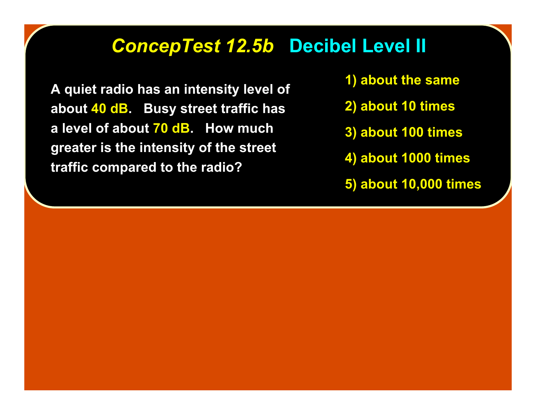#### *ConcepTest 12.5b ConcepTest 12.5b* **Decibel Level II**

**A quiet radio has an intensity level of about 40 dB. Busy street traffic has a level of about 70 dB. How much greater is the intensity of the street traffic compared to the radio?**

- **1) about the same**
- **2) about 10 times**
- **3) about 100 times**
- **4) about 1000 times**
- **5) about 10,000 times**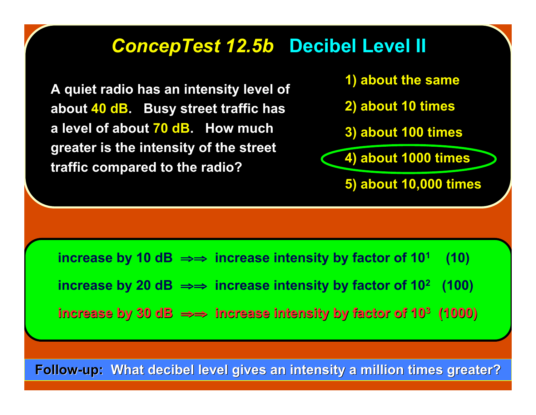#### *ConcepTest 12.5b ConcepTest 12.5b* **Decibel Level II**

**A quiet radio has an intensity level of about 40 dB. Busy street traffic has a level of about 70 dB. How much greater is the intensity of the street traffic compared to the radio?**

**1) about the same**

- **2) about 10 times**
- **3) about 100 times**

**4) about 1000 times**

**5) about 10,000 times**

**increase by 10 dB**  $\Rightarrow$  **increase intensity by factor of 10<sup>1</sup> (10)** 

 **increase by 20 dB** ⇒⇒ **increase intensity by factor of 102 (100)**

 **increase by 30 dB increase by 30 dB** ⇒⇒ **increase intensity by factor of 10 increase intensity by factor of 103 (1000) (1000)**

**Follow-up: What decibel level gives an intensity a million times greater?**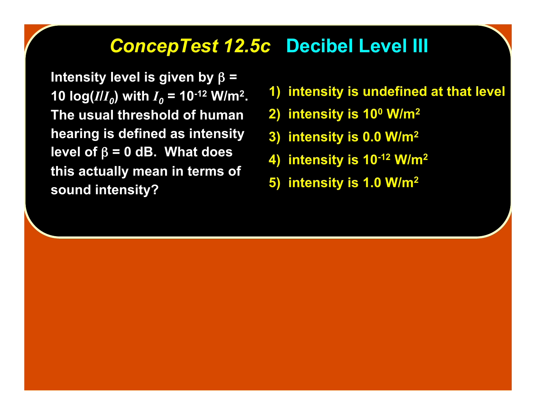#### *ConcepTest 12.5c ConcepTest 12.5c* **Decibel Level III**

**Intensity level is given by** β **= 10**  $\log (I/I_0)$  **with**  $I_0 = 10^{-12}$  **W/m<sup>2</sup>. The usual threshold of human hearing is defined as intensity level of** β **= 0 dB. What does this actually mean in terms of sound intensity?**

- **1) intensity is undefined at that level**
- **2) intensity is 100 W/m2**
- **3) intensity is 0.0 W/m2**
- **4) intensity is 10-12 W/m2**
- **5) intensity is 1.0 W/m2**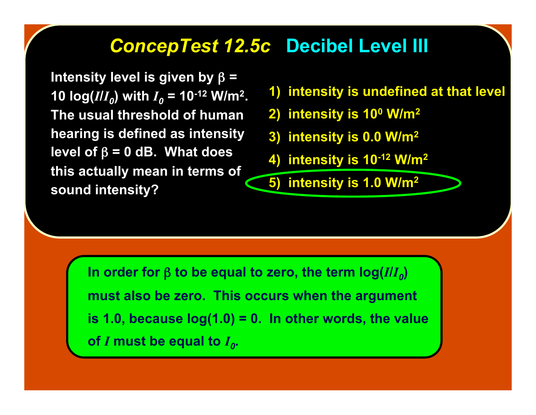#### *ConcepTest 12.5c ConcepTest 12.5c* **Decibel Level III**

**Intensity level is given by** β **= 10 log(***I***/***I***<sub>***0***</sub>) with**  $I_0 = 10^{-12}$  **W/m<sup>2</sup>. The usual threshold of human hearing is defined as intensity level of** β **= 0 dB. What does this actually mean in terms of sound intensity?**

- **1) intensity is undefined at that level**
- **2) intensity is 100 W/m2**
- **3) intensity is 0.0 W/m2**
- **4) intensity is 10-12 W/m2**

**5) intensity is 1.0 W/m2**

**In order for** β to be equal to zero, the term  $log(I/I_0)$ **must also be zero. This occurs when the argument is 1.0, because log(1.0) = 0. In other words, the value of** *I* must be equal to  $I_0$ .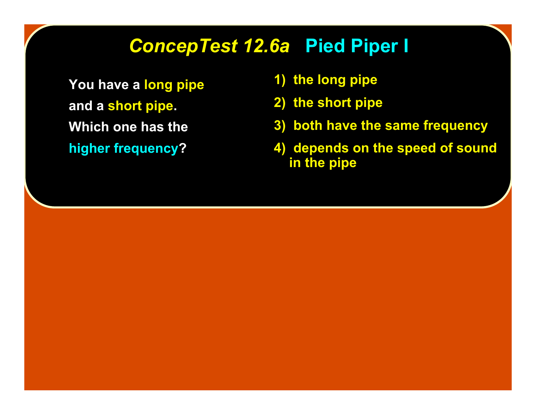## *ConcepTest 12.6a ConcepTest 12.6a* **Pied Piper I**

**You have a long pipe and a short pipe. Which one has the higher frequency?**

- **1) the long pipe**
- **2) the short pipe**
- **3) both have the same frequency**
- **4) depends on the speed of sound in the pipe**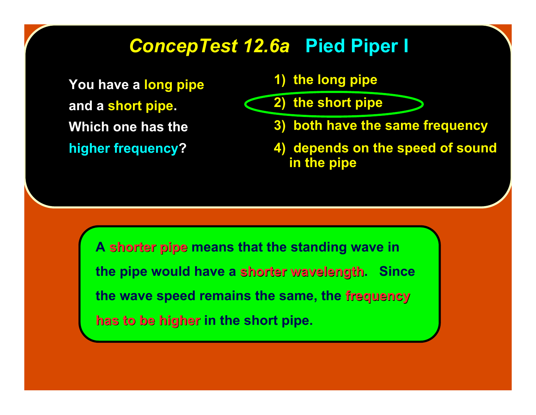## *ConcepTest 12.6a ConcepTest 12.6a* **Pied Piper I**

**You have a long pipe and a short pipe. Which one has the higher frequency?**

**1) the long pipe**

**2) the short pipe**

- **3) both have the same frequency**
- **4) depends on the speed of sound in the pipe**

**A shorter pipe shorter pipe means that the standing wave in the pipe would have a shorter wavelength. Since the wave speed remains the same, the frequency frequency has to be higher has to be higher in the short pipe.**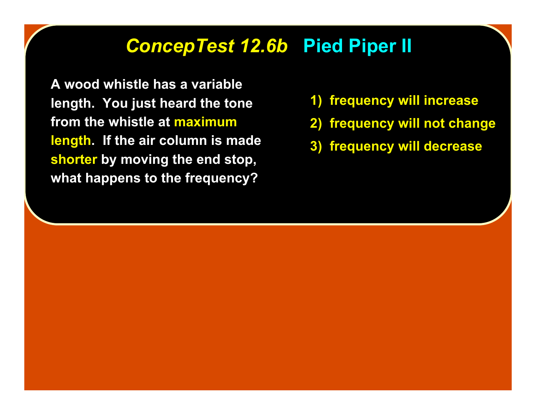#### *ConcepTest 12.6b ConcepTest 12.6b* **Pied Piper II**

**A wood whistle has a variable length. You just heard the tone from the whistle at maximum length. If the air column is made shorter by moving the end stop, what happens to the frequency?**

- **1) frequency will increase**
- **2) frequency will not change**
- **3) frequency will decrease**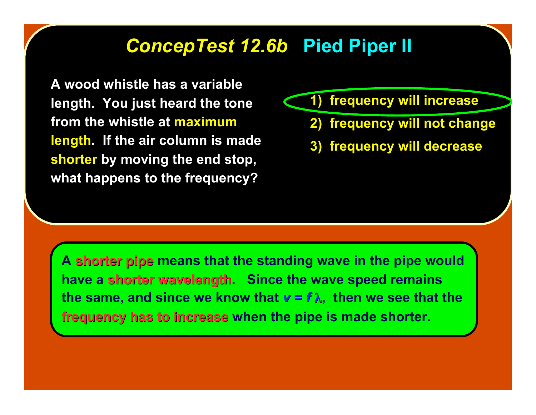#### *ConcepTest 12.6b ConcepTest 12.6b* **Pied Piper II**

**A wood whistle has a variable length. You just heard the tone from the whistle at maximum length. If the air column is made shorter by moving the end stop, what happens to the frequency?**

**1) frequency will increase**

- **2) frequency will not change**
- **3) frequency will decrease**

A shorter pipe means that the standing wave in the pipe would **have a shorter wavelength.** Since the wave speed remains **the same, and since we know that**  $v = f \lambda$ **, then we see that the frequency has to increase when the pipe is made shorter.**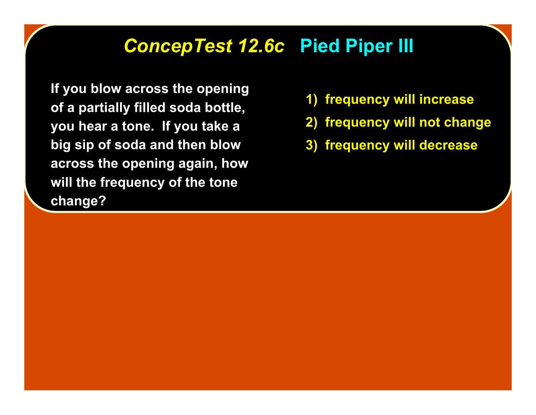#### *ConcepTest 12.6c ConcepTest 12.6c* **Pied Piper III**

**If you blow across the opening of a partially filled soda bottle, you hear a tone. If you take a big sip of soda and then blow across the opening again, how will the frequency of the tone change?**

- **1) frequency will increase**
- **2) frequency will not change**
- **3) frequency will decrease**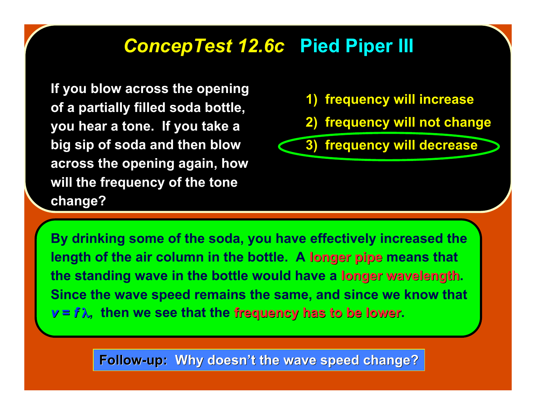#### *ConcepTest 12.6c ConcepTest 12.6c* **Pied Piper III**

**If you blow across the opening of a partially filled soda bottle, you hear a tone. If you take a big sip of soda and then blow across the opening again, how will the frequency of the tone change?**

- **1) frequency will increase**
- **2) frequency will not change**

**3) frequency will decrease**

**By drinking some of the soda, you have effectively increased the length of the air column in the bottle. A longer pipe means that the standing wave in the bottle would have a longer wavelength longer wavelength. Since the wave speed remains the same, and since we know that**  $v = f \lambda$ , then we see that the **frequency has to be lower.** 

**Follow-up: Why doesn't the wave speed change?**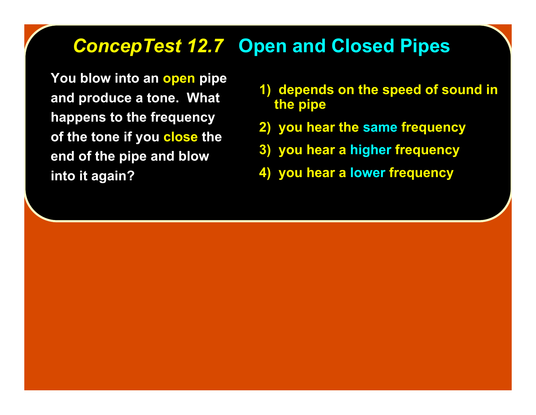#### *ConcepTest 12.7 ConcepTest 12.7* **Open and Closed Pipes**

**You blow into an open pipe and produce a tone. What happens to the frequency of the tone if you close the end of the pipe and blow into it again?**

- **1) depends on the speed of sound in the pipe**
- **2) you hear the same frequency**
- **3) you hear a higher frequency**
- **4) you hear a lower frequency**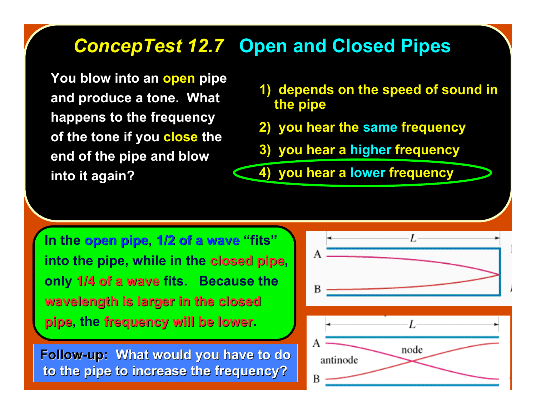## *ConcepTest 12.7 ConcepTest 12.7* **Open and Closed Pipes**

**You blow into an open pipe and produce a tone. What happens to the frequency of the tone if you close the end of the pipe and blow into it again?**

- **1) depends on the speed of sound in the pipe**
- **2) you hear the same frequency**
- **3) you hear a higher frequency**

**4) you hear a lower frequency**

**In the open pipe open pipe, 1/2 of a wave 1/2 of a wave "fits" into the pipe, while in the closed pipe, only 1/4 of a wave 1/4 of a wave fits. Because the wavelength is larger in the closed wavelength is larger in the closed pipe, the frequency will be lower frequency will be lower.**

**Follow-up: What would you have to do to the pipe to increase the frequency? to the pipe to increase the frequency?**

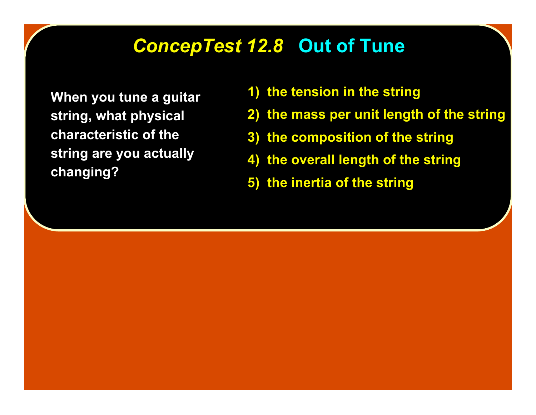#### *ConcepTest 12.8 ConcepTest 12.8* **Out of Tune**

**When you tune a guitar string, what physical characteristic of the string are you actually changing?**

- **1) the tension in the string**
- **2) the mass per unit length of the string**
- **3) the composition of the string**
- **4) the overall length of the string**
- **5) the inertia of the string**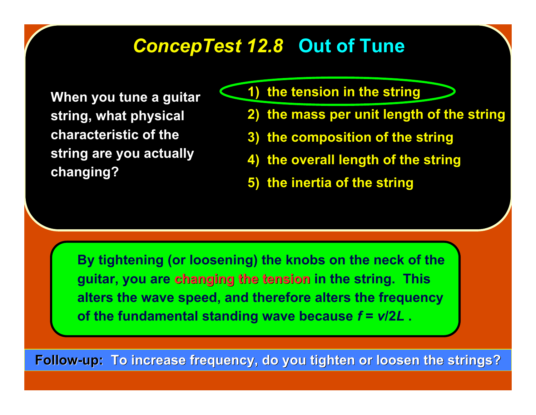#### *ConcepTest 12.8 ConcepTest 12.8* **Out of Tune**

**When you tune a guitar string, what physical characteristic of the string are you actually changing?**

- **1) the tension in the string**
- **2) the mass per unit length of the string**
- **3) the composition of the string**
- **4) the overall length of the string**
- **5) the inertia of the string**

**By tightening (or loosening) the knobs on the neck of the guitar, you are changing the tension changing the tension in the string. This alters the wave speed, and therefore alters the frequency of the fundamental standing wave because** *f* **=** *v***/2***L* **.**

**Follow-up: To increase frequency, do you tighten or loosen the strings?**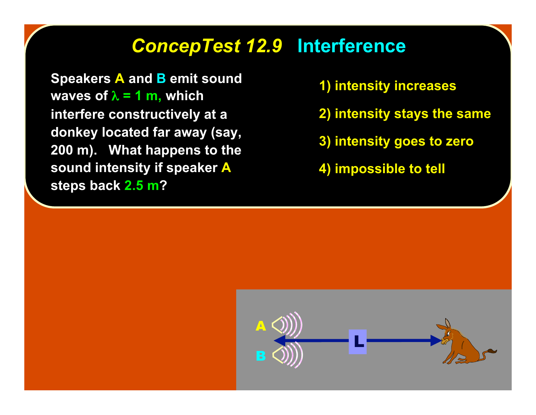## *ConcepTest 12.9 ConcepTest 12.9* **Interference**

**Speakers A and B emit sound waves of**  $\lambda = 1$  **m, which interfere constructively at a donkey located far away (say, 200 m). What happens to the sound intensity if speaker A steps back 2.5 m?**

- **1) intensity increases**
- **2) intensity stays the same**
- **3) intensity goes to zero**
- **4) impossible to tell**

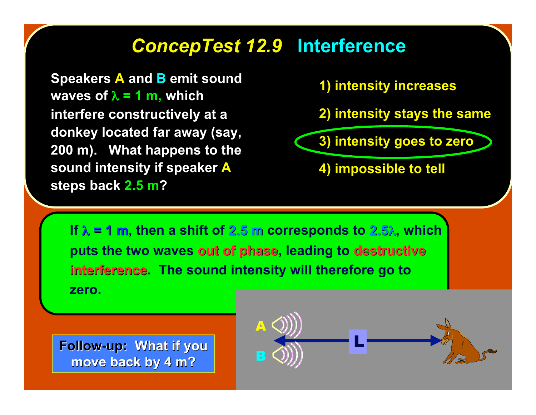# *ConcepTest 12.9 ConcepTest 12.9* **Interference**

**Speakers A and B emit sound waves of**  $\lambda = 1$  **m, which interfere constructively at a donkey located far away (say, 200 m). What happens to the sound intensity if speaker A steps back 2.5 m?**

**1) intensity increases**

**2) intensity stays the same**

**3) intensity goes to zero**

**4) impossible to tell**

**If** λ **= 1 m, then a shift of 2.5 m corresponds to 2.5**λ**, which puts the two waves out of phase, leading to destructive interference.** The sound intensity will therefore go to **zero.**

**Follow-up: What if you move back by 4 m? move back by 4 m?**

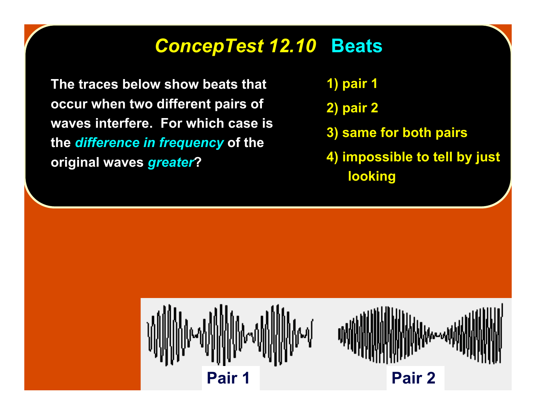#### *ConcepTest 12.10 ConcepTest 12.10* **Beats**

**The traces below show beats that occur when two different pairs of waves interfere. For which case is the** *difference in frequency* **of the original waves** *greater***?**

- **1) pair 1**
- **2) pair 2**
- **3) same for both pairs**
- **4) impossible to tell by just looking**

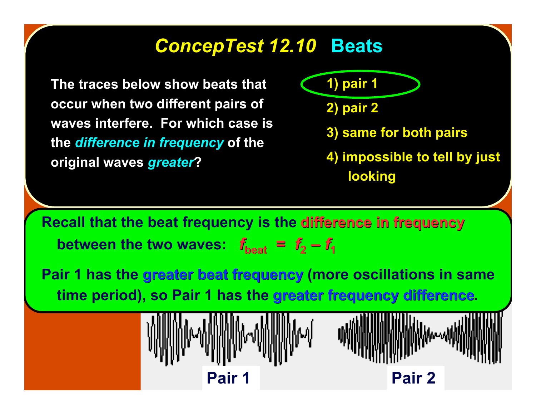#### *ConcepTest 12.10 ConcepTest 12.10* **Beats**

**The traces below show beats that occur when two different pairs of waves interfere. For which case is the** *difference in frequency* **of the original waves** *greater***?**

**1) pair 1**

**2) pair 2**

**3) same for both pairs**

**4) impossible to tell by just looking**

**Recall that the beat frequency is the difference in frequency between the two waves:**  $f_{\text{heat}} = f_2 - f_1$ 

**Pair 1 has the greater beat frequency (more oscillations in same time period), so Pair 1 has the greater frequency difference greater frequency difference.**

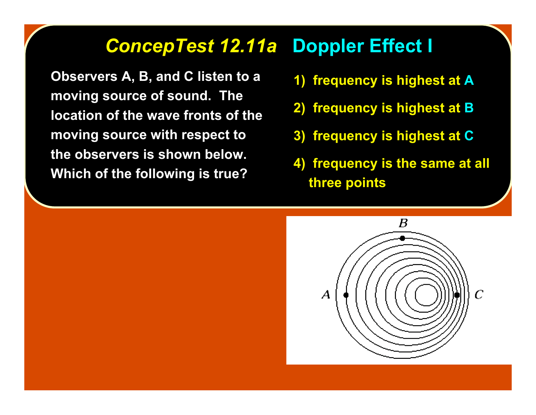#### *ConcepTest 12.11a ConcepTest 12.11a* **Doppler Effect I**

**Observers A, B, and C listen to a moving source of sound. The location of the wave fronts of the moving source with respect to the observers is shown below. Which of the following is true?**

- **1) frequency is highest at A**
- **2) frequency is highest at B**
- **3) frequency is highest at C**
- **4) frequency is the same at all three points**

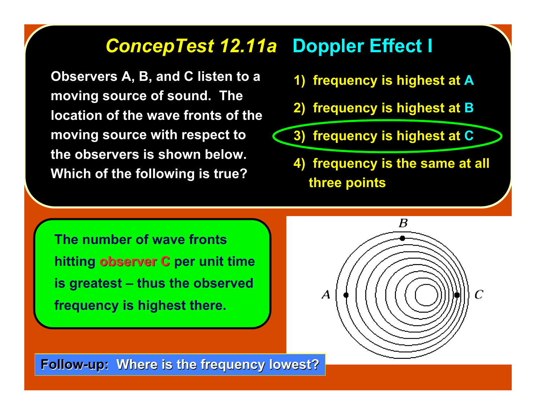#### *ConcepTest 12.11a ConcepTest 12.11a* **Doppler Effect I**

**Observers A, B, and C listen to a moving source of sound. The location of the wave fronts of the moving source with respect to the observers is shown below. Which of the following is true?**

- **1) frequency is highest at A**
- **2) frequency is highest at B**
- **3) frequency is highest at C**
	- **4) frequency is the same at all three points**

**The number of wave fronts hitting observer C observer C per unit time is greatest – thus the observed frequency is highest there.**



**Follow-up: Where is the frequency lowest?**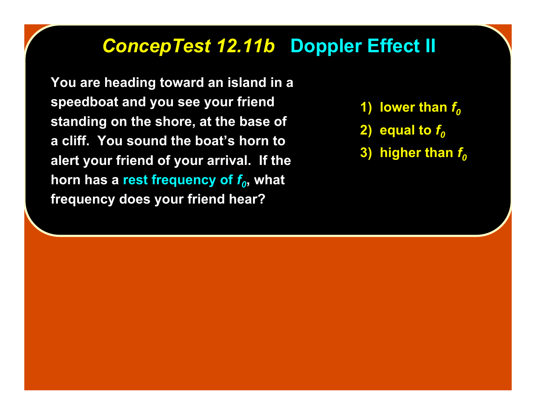## *ConcepTest 12.11b ConcepTest 12.11b* **Doppler Effect II**

**You are heading toward an island in a speedboat and you see your friend standing on the shore, at the base of a cliff. You sound the boat's horn to alert your friend of your arrival. If the horn has a rest frequency of**  $f_0$ **, what frequency does your friend hear?**

- **1)** lower than  $f<sub>0</sub>$
- **2)** equal to  $f<sub>0</sub>$
- **3) higher than**  $f<sub>0</sub>$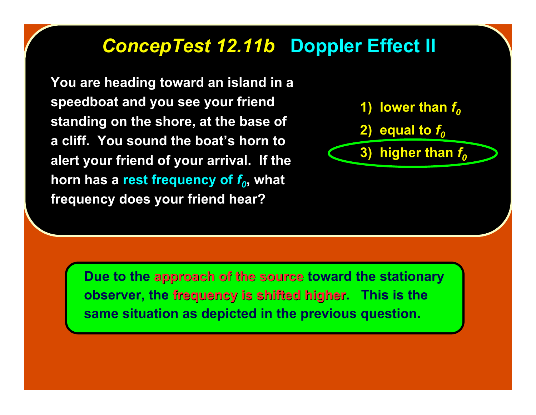## *ConcepTest 12.11b ConcepTest 12.11b* **Doppler Effect II**

**You are heading toward an island in a speedboat and you see your friend standing on the shore, at the base of a cliff. You sound the boat's horn to alert your friend of your arrival. If the horn has a rest frequency of**  $f_0$ **, what frequency does your friend hear?**



**Due to the approach of the source approach of the source toward the stationary observer, the frequency is shifted higher. This is the same situation as depicted in the previous question.**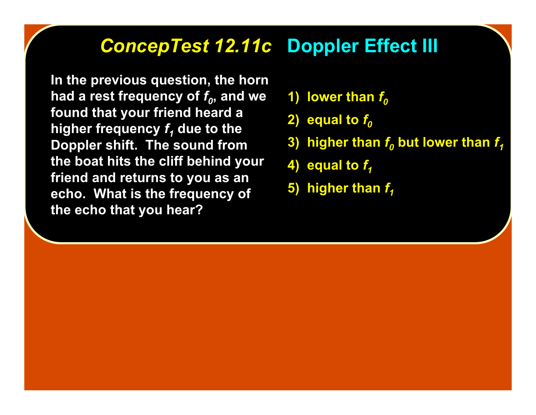#### *ConcepTest 12.11c ConcepTest 12.11c* **Doppler Effect III**

**In the previous question, the horn** had a rest frequency of  $f_0$ , and we **found that your friend heard a higher frequency**  $f_1$  **due to the Doppler shift. The sound from the boat hits the cliff behind your friend and returns to you as an echo. What is the frequency of the echo that you hear?**

- **1)** lower than  $f<sub>0</sub>$
- **2)** equal to  $f<sub>0</sub>$
- **3) higher than**  $f_0$  **but lower than**  $f_1$
- **4)** equal to  $f_4$
- **5) higher than**  $f_1$